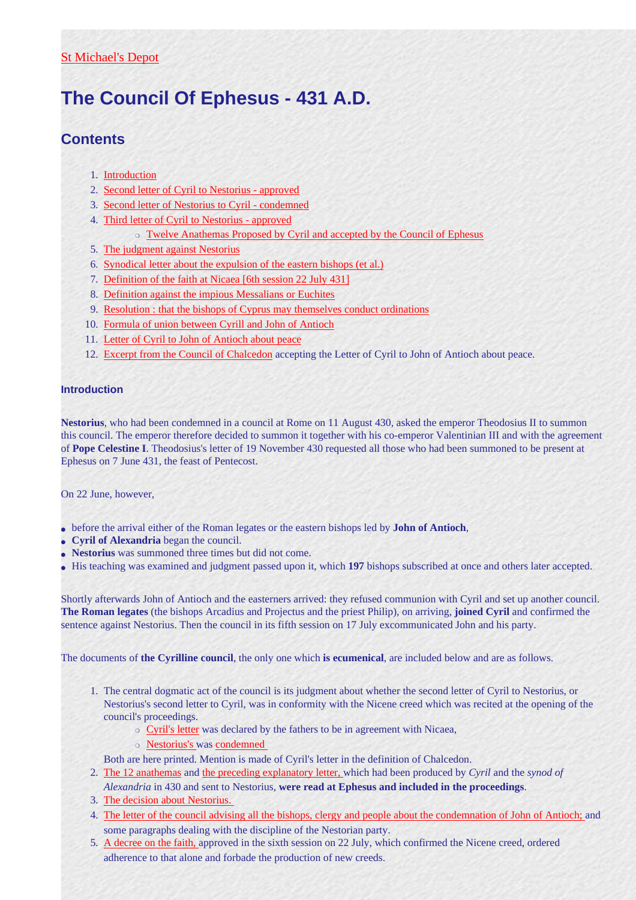# **The Council Of Ephesus - 431 A.D.**

# **Contents**

#### 1. [Introduction](#page-0-0)

- 2. [Second letter of Cyril to Nestorius approved](#page-1-0)
- 3. [Second letter of Nestorius to Cyril condemned](#page-2-0)
- 4. [Third letter of Cyril to Nestorius approved](#page-4-0)
	- o [Twelve Anathemas Proposed by Cyril and accepted by the Council of Ephesus](#page-6-0)
- 5. [The judgment against Nestorius](#page-7-0)
- 6. [Synodical letter about the expulsion of the eastern bishops \(et al.\)](#page-7-1)
- 7. [Definition of the faith at Nicaea \[6th session 22 July 431\]](#page-8-0)
- 8. [Definition against the impious Messalians or Euchites](#page-9-0)
- 9. [Resolution : that the bishops of Cyprus may themselves conduct ordinations](#page-9-1)
- 10. [Formula of union between Cyrill and John of Antioch](#page-10-0)
- 11. [Letter of Cyril to John of Antioch about peace](#page-10-1)
- 12. [Excerpt from the Council of Chalcedon](#page-11-0) accepting the Letter of Cyril to John of Antioch about peace.

#### <span id="page-0-0"></span>**Introduction**

**Nestorius**, who had been condemned in a council at Rome on 11 August 430, asked the emperor Theodosius II to summon this council. The emperor therefore decided to summon it together with his co-emperor Valentinian III and with the agreement of **Pope Celestine I**. Theodosius's letter of 19 November 430 requested all those who had been summoned to be present at Ephesus on 7 June 431, the feast of Pentecost.

On 22 June, however,

- before the arrival either of the Roman legates or the eastern bishops led by **John of Antioch**,
- **Cyril of Alexandria** began the council.
- **Nestorius** was summoned three times but did not come.
- His teaching was examined and judgment passed upon it, which **197** bishops subscribed at once and others later accepted.

Shortly afterwards John of Antioch and the easterners arrived: they refused communion with Cyril and set up another council. **The Roman legates** (the bishops Arcadius and Projectus and the priest Philip), on arriving, **joined Cyril** and confirmed the sentence against Nestorius. Then the council in its fifth session on 17 July excommunicated John and his party.

The documents of **the Cyrilline council**, the only one which **is ecumenical**, are included below and are as follows.

- 1. The central dogmatic act of the council is its judgment about whether the second letter of Cyril to Nestorius, or Nestorius's second letter to Cyril, was in conformity with the Nicene creed which was recited at the opening of the council's proceedings.
	- o [Cyril's letter](#page-1-0) was declared by the fathers to be in agreement with Nicaea,
	- ❍ [Nestorius's](#page-2-0) was [condemned](#page-7-0)
	- Both are here printed. Mention is made of Cyril's letter in the definition of Chalcedon.
- 2. [The 12 anathemas](#page-6-0) and [the preceding explanatory letter,](#page-4-0) which had been produced by *Cyril* and the *synod of*
- *Alexandria* in 430 and sent to Nestorius, **were read at Ephesus and included in the proceedings**.
- 3. [The decision about Nestorius.](#page-7-0)
- 4. [The letter of the council advising all the bishops, clergy and people about the condemnation of John of Antioch;](#page-7-1) and some paragraphs dealing with the discipline of the Nestorian party.
- 5. [A decree on the faith,](#page-8-0) approved in the sixth session on 22 July, which confirmed the Nicene creed, ordered adherence to that alone and forbade the production of new creeds.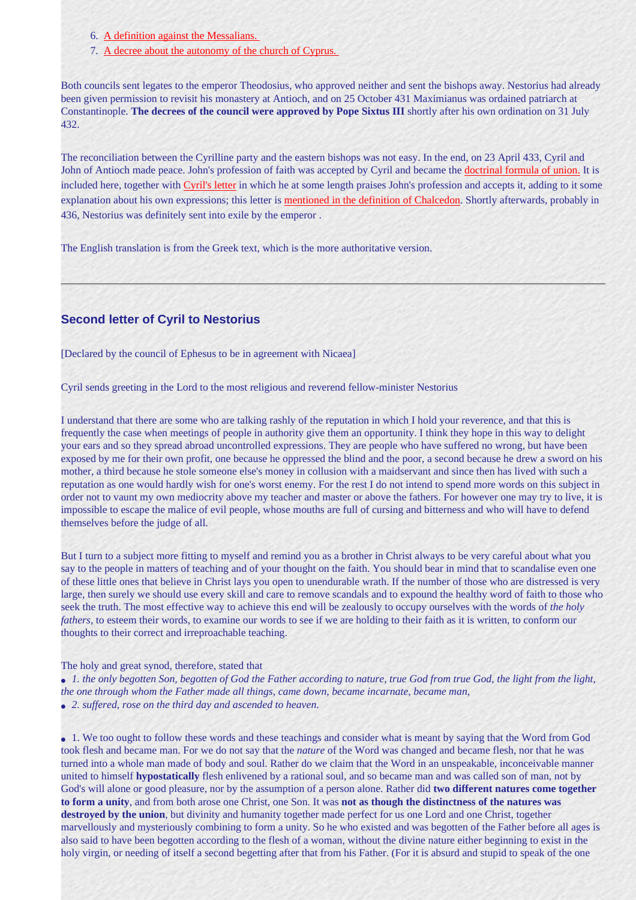6. [A definition against the Messalians.](#page-9-0) 

7. [A decree about the autonomy of the church of Cyprus.](#page-9-1) 

Both councils sent legates to the emperor Theodosius, who approved neither and sent the bishops away. Nestorius had already been given permission to revisit his monastery at Antioch, and on 25 October 431 Maximianus was ordained patriarch at Constantinople. **The decrees of the council were approved by Pope Sixtus III** shortly after his own ordination on 31 July 432.

The reconciliation between the Cyrilline party and the eastern bishops was not easy. In the end, on 23 April 433, Cyril and John of Antioch made peace. John's profession of faith was accepted by Cyril and became the [doctrinal formula of union.](#page-10-0) It is included here, together with [Cyril's letter](#page-10-1) in which he at some length praises John's profession and accepts it, adding to it some explanation about his own expressions; this letter is [mentioned in the definition of Chalcedon.](#page-11-0) Shortly afterwards, probably in 436, Nestorius was definitely sent into exile by the emperor .

The English translation is from the Greek text, which is the more authoritative version.

#### <span id="page-1-0"></span>**Second letter of Cyril to Nestorius**

[Declared by the council of Ephesus to be in agreement with Nicaea]

Cyril sends greeting in the Lord to the most religious and reverend fellow-minister Nestorius

I understand that there are some who are talking rashly of the reputation in which I hold your reverence, and that this is frequently the case when meetings of people in authority give them an opportunity. I think they hope in this way to delight your ears and so they spread abroad uncontrolled expressions. They are people who have suffered no wrong, but have been exposed by me for their own profit, one because he oppressed the blind and the poor, a second because he drew a sword on his mother, a third because he stole someone else's money in collusion with a maidservant and since then has lived with such a reputation as one would hardly wish for one's worst enemy. For the rest I do not intend to spend more words on this subject in order not to vaunt my own mediocrity above my teacher and master or above the fathers. For however one may try to live, it is impossible to escape the malice of evil people, whose mouths are full of cursing and bitterness and who will have to defend themselves before the judge of all.

But I turn to a subject more fitting to myself and remind you as a brother in Christ always to be very careful about what you say to the people in matters of teaching and of your thought on the faith. You should bear in mind that to scandalise even one of these little ones that believe in Christ lays you open to unendurable wrath. If the number of those who are distressed is very large, then surely we should use every skill and care to remove scandals and to expound the healthy word of faith to those who seek the truth. The most effective way to achieve this end will be zealously to occupy ourselves with the words of *the holy fathers*, to esteem their words, to examine our words to see if we are holding to their faith as it is written, to conform our thoughts to their correct and irreproachable teaching.

#### The holy and great synod, therefore, stated that

• 1. the only begotten Son, begotten of God the Father according to nature, true God from true God, the light from the light, *the one through whom the Father made all things, came down, became incarnate, became man,* 

● *2. suffered, rose on the third day and ascended to heaven*.

• 1. We too ought to follow these words and these teachings and consider what is meant by saying that the Word from God took flesh and became man. For we do not say that the *nature* of the Word was changed and became flesh, nor that he was turned into a whole man made of body and soul. Rather do we claim that the Word in an unspeakable, inconceivable manner united to himself **hypostatically** flesh enlivened by a rational soul, and so became man and was called son of man, not by God's will alone or good pleasure, nor by the assumption of a person alone. Rather did **two different natures come together to form a unity**, and from both arose one Christ, one Son. It was **not as though the distinctness of the natures was destroyed by the union**, but divinity and humanity together made perfect for us one Lord and one Christ, together marvellously and mysteriously combining to form a unity. So he who existed and was begotten of the Father before all ages is also said to have been begotten according to the flesh of a woman, without the divine nature either beginning to exist in the holy virgin, or needing of itself a second begetting after that from his Father. (For it is absurd and stupid to speak of the one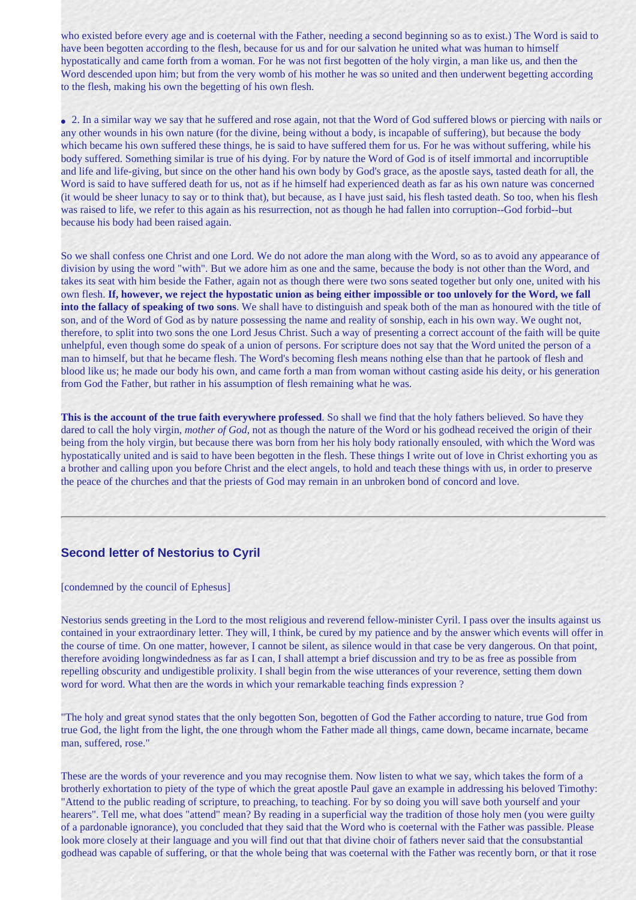who existed before every age and is coeternal with the Father, needing a second beginning so as to exist.) The Word is said to have been begotten according to the flesh, because for us and for our salvation he united what was human to himself hypostatically and came forth from a woman. For he was not first begotten of the holy virgin, a man like us, and then the Word descended upon him; but from the very womb of his mother he was so united and then underwent begetting according to the flesh, making his own the begetting of his own flesh.

● 2. In a similar way we say that he suffered and rose again, not that the Word of God suffered blows or piercing with nails or any other wounds in his own nature (for the divine, being without a body, is incapable of suffering), but because the body which became his own suffered these things, he is said to have suffered them for us. For he was without suffering, while his body suffered. Something similar is true of his dying. For by nature the Word of God is of itself immortal and incorruptible and life and life-giving, but since on the other hand his own body by God's grace, as the apostle says, tasted death for all, the Word is said to have suffered death for us, not as if he himself had experienced death as far as his own nature was concerned (it would be sheer lunacy to say or to think that), but because, as I have just said, his flesh tasted death. So too, when his flesh was raised to life, we refer to this again as his resurrection, not as though he had fallen into corruption--God forbid--but because his body had been raised again.

So we shall confess one Christ and one Lord. We do not adore the man along with the Word, so as to avoid any appearance of division by using the word "with". But we adore him as one and the same, because the body is not other than the Word, and takes its seat with him beside the Father, again not as though there were two sons seated together but only one, united with his own flesh. **If, however, we reject the hypostatic union as being either impossible or too unlovely for the Word, we fall into the fallacy of speaking of two sons**. We shall have to distinguish and speak both of the man as honoured with the title of son, and of the Word of God as by nature possessing the name and reality of sonship, each in his own way. We ought not, therefore, to split into two sons the one Lord Jesus Christ. Such a way of presenting a correct account of the faith will be quite unhelpful, even though some do speak of a union of persons. For scripture does not say that the Word united the person of a man to himself, but that he became flesh. The Word's becoming flesh means nothing else than that he partook of flesh and blood like us; he made our body his own, and came forth a man from woman without casting aside his deity, or his generation from God the Father, but rather in his assumption of flesh remaining what he was.

**This is the account of the true faith everywhere professed**. So shall we find that the holy fathers believed. So have they dared to call the holy virgin, *mother of God*, not as though the nature of the Word or his godhead received the origin of their being from the holy virgin, but because there was born from her his holy body rationally ensouled, with which the Word was hypostatically united and is said to have been begotten in the flesh. These things I write out of love in Christ exhorting you as a brother and calling upon you before Christ and the elect angels, to hold and teach these things with us, in order to preserve the peace of the churches and that the priests of God may remain in an unbroken bond of concord and love.

#### <span id="page-2-0"></span>**Second letter of Nestorius to Cyril**

#### [condemned by the council of Ephesus]

Nestorius sends greeting in the Lord to the most religious and reverend fellow-minister Cyril. I pass over the insults against us contained in your extraordinary letter. They will, I think, be cured by my patience and by the answer which events will offer in the course of time. On one matter, however, I cannot be silent, as silence would in that case be very dangerous. On that point, therefore avoiding longwindedness as far as I can, I shall attempt a brief discussion and try to be as free as possible from repelling obscurity and undigestible prolixity. I shall begin from the wise utterances of your reverence, setting them down word for word. What then are the words in which your remarkable teaching finds expression ?

"The holy and great synod states that the only begotten Son, begotten of God the Father according to nature, true God from true God, the light from the light, the one through whom the Father made all things, came down, became incarnate, became man, suffered, rose."

These are the words of your reverence and you may recognise them. Now listen to what we say, which takes the form of a brotherly exhortation to piety of the type of which the great apostle Paul gave an example in addressing his beloved Timothy: "Attend to the public reading of scripture, to preaching, to teaching. For by so doing you will save both yourself and your hearers". Tell me, what does "attend" mean? By reading in a superficial way the tradition of those holy men (you were guilty of a pardonable ignorance), you concluded that they said that the Word who is coeternal with the Father was passible. Please look more closely at their language and you will find out that that divine choir of fathers never said that the consubstantial godhead was capable of suffering, or that the whole being that was coeternal with the Father was recently born, or that it rose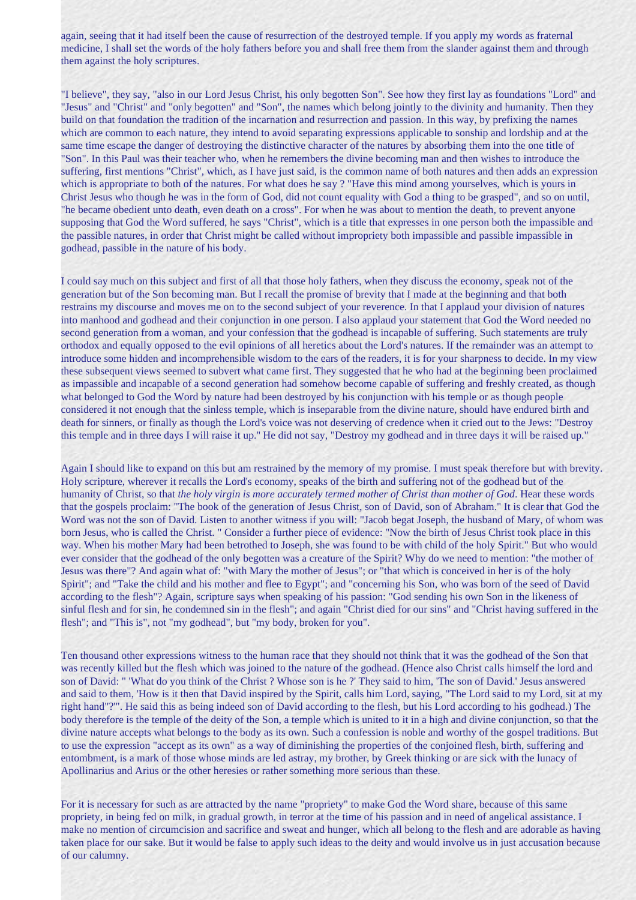again, seeing that it had itself been the cause of resurrection of the destroyed temple. If you apply my words as fraternal medicine, I shall set the words of the holy fathers before you and shall free them from the slander against them and through them against the holy scriptures.

"I believe", they say, "also in our Lord Jesus Christ, his only begotten Son". See how they first lay as foundations "Lord" and "Jesus" and "Christ" and "only begotten" and "Son", the names which belong jointly to the divinity and humanity. Then they build on that foundation the tradition of the incarnation and resurrection and passion. In this way, by prefixing the names which are common to each nature, they intend to avoid separating expressions applicable to sonship and lordship and at the same time escape the danger of destroying the distinctive character of the natures by absorbing them into the one title of "Son". In this Paul was their teacher who, when he remembers the divine becoming man and then wishes to introduce the suffering, first mentions "Christ", which, as I have just said, is the common name of both natures and then adds an expression which is appropriate to both of the natures. For what does he say ? "Have this mind among yourselves, which is yours in Christ Jesus who though he was in the form of God, did not count equality with God a thing to be grasped", and so on until, "he became obedient unto death, even death on a cross". For when he was about to mention the death, to prevent anyone supposing that God the Word suffered, he says "Christ", which is a title that expresses in one person both the impassible and the passible natures, in order that Christ might be called without impropriety both impassible and passible impassible in godhead, passible in the nature of his body.

I could say much on this subject and first of all that those holy fathers, when they discuss the economy, speak not of the generation but of the Son becoming man. But I recall the promise of brevity that I made at the beginning and that both restrains my discourse and moves me on to the second subject of your reverence. In that I applaud your division of natures into manhood and godhead and their conjunction in one person. I also applaud your statement that God the Word needed no second generation from a woman, and your confession that the godhead is incapable of suffering. Such statements are truly orthodox and equally opposed to the evil opinions of all heretics about the Lord's natures. If the remainder was an attempt to introduce some hidden and incomprehensible wisdom to the ears of the readers, it is for your sharpness to decide. In my view these subsequent views seemed to subvert what came first. They suggested that he who had at the beginning been proclaimed as impassible and incapable of a second generation had somehow become capable of suffering and freshly created, as though what belonged to God the Word by nature had been destroyed by his conjunction with his temple or as though people considered it not enough that the sinless temple, which is inseparable from the divine nature, should have endured birth and death for sinners, or finally as though the Lord's voice was not deserving of credence when it cried out to the Jews: "Destroy this temple and in three days I will raise it up.'' He did not say, "Destroy my godhead and in three days it will be raised up."

Again I should like to expand on this but am restrained by the memory of my promise. I must speak therefore but with brevity. Holy scripture, wherever it recalls the Lord's economy, speaks of the birth and suffering not of the godhead but of the humanity of Christ, so that *the holy virgin is more accurately termed mother of Christ than mother of God*. Hear these words that the gospels proclaim: "The book of the generation of Jesus Christ, son of David, son of Abraham." It is clear that God the Word was not the son of David. Listen to another witness if you will: "Jacob begat Joseph, the husband of Mary, of whom was born Jesus, who is called the Christ. " Consider a further piece of evidence: "Now the birth of Jesus Christ took place in this way. When his mother Mary had been betrothed to Joseph, she was found to be with child of the holy Spirit." But who would ever consider that the godhead of the only begotten was a creature of the Spirit? Why do we need to mention: "the mother of Jesus was there"? And again what of: "with Mary the mother of Jesus"; or "that which is conceived in her is of the holy Spirit"; and "Take the child and his mother and flee to Egypt"; and "concerning his Son, who was born of the seed of David according to the flesh"? Again, scripture says when speaking of his passion: "God sending his own Son in the likeness of sinful flesh and for sin, he condemned sin in the flesh"; and again "Christ died for our sins" and "Christ having suffered in the flesh"; and "This is", not "my godhead", but "my body, broken for you".

Ten thousand other expressions witness to the human race that they should not think that it was the godhead of the Son that was recently killed but the flesh which was joined to the nature of the godhead. (Hence also Christ calls himself the lord and son of David: " 'What do you think of the Christ ? Whose son is he ?' They said to him, 'The son of David.' Jesus answered and said to them, 'How is it then that David inspired by the Spirit, calls him Lord, saying, "The Lord said to my Lord, sit at my right hand"?'". He said this as being indeed son of David according to the flesh, but his Lord according to his godhead.) The body therefore is the temple of the deity of the Son, a temple which is united to it in a high and divine conjunction, so that the divine nature accepts what belongs to the body as its own. Such a confession is noble and worthy of the gospel traditions. But to use the expression "accept as its own" as a way of diminishing the properties of the conjoined flesh, birth, suffering and entombment, is a mark of those whose minds are led astray, my brother, by Greek thinking or are sick with the lunacy of Apollinarius and Arius or the other heresies or rather something more serious than these.

For it is necessary for such as are attracted by the name "propriety" to make God the Word share, because of this same propriety, in being fed on milk, in gradual growth, in terror at the time of his passion and in need of angelical assistance. I make no mention of circumcision and sacrifice and sweat and hunger, which all belong to the flesh and are adorable as having taken place for our sake. But it would be false to apply such ideas to the deity and would involve us in just accusation because of our calumny.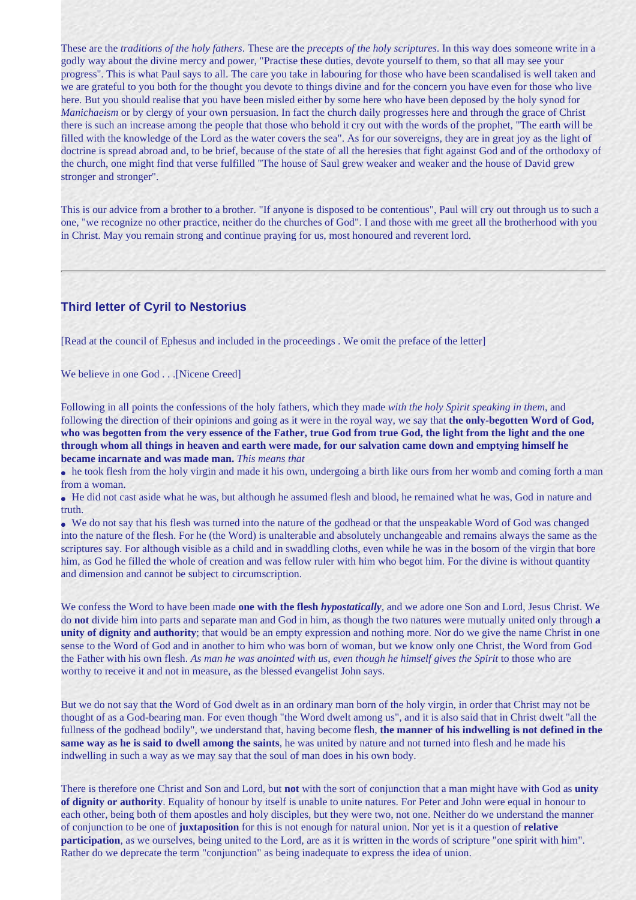These are the *traditions of the holy fathers*. These are the *precepts of the holy scriptures*. In this way does someone write in a godly way about the divine mercy and power, "Practise these duties, devote yourself to them, so that all may see your progress''. This is what Paul says to all. The care you take in labouring for those who have been scandalised is well taken and we are grateful to you both for the thought you devote to things divine and for the concern you have even for those who live here. But you should realise that you have been misled either by some here who have been deposed by the holy synod for *Manichaeism* or by clergy of your own persuasion. In fact the church daily progresses here and through the grace of Christ there is such an increase among the people that those who behold it cry out with the words of the prophet, "The earth will be filled with the knowledge of the Lord as the water covers the sea". As for our sovereigns, they are in great joy as the light of doctrine is spread abroad and, to be brief, because of the state of all the heresies that fight against God and of the orthodoxy of the church, one might find that verse fulfilled "The house of Saul grew weaker and weaker and the house of David grew stronger and stronger".

This is our advice from a brother to a brother. "If anyone is disposed to be contentious", Paul will cry out through us to such a one, "we recognize no other practice, neither do the churches of God". I and those with me greet all the brotherhood with you in Christ. May you remain strong and continue praying for us, most honoured and reverent lord.

#### <span id="page-4-0"></span>**Third letter of Cyril to Nestorius**

[Read at the council of Ephesus and included in the proceedings . We omit the preface of the letter]

We believe in one God . . .[Nicene Creed]

Following in all points the confessions of the holy fathers, which they made *with the holy Spirit speaking in them*, and following the direction of their opinions and going as it were in the royal way, we say that **the only-begotten Word of God, who was begotten from the very essence of the Father, true God from true God, the light from the light and the one through whom all things in heaven and earth were made, for our salvation came down and emptying himself he became incarnate and was made man.** *This means that*

• he took flesh from the holy virgin and made it his own, undergoing a birth like ours from her womb and coming forth a man from a woman.

• He did not cast aside what he was, but although he assumed flesh and blood, he remained what he was, God in nature and truth.

• We do not say that his flesh was turned into the nature of the godhead or that the unspeakable Word of God was changed into the nature of the flesh. For he (the Word) is unalterable and absolutely unchangeable and remains always the same as the scriptures say. For although visible as a child and in swaddling cloths, even while he was in the bosom of the virgin that bore him, as God he filled the whole of creation and was fellow ruler with him who begot him. For the divine is without quantity and dimension and cannot be subject to circumscription.

We confess the Word to have been made **one with the flesh** *hypostatically,* and we adore one Son and Lord, Jesus Christ. We do **not** divide him into parts and separate man and God in him, as though the two natures were mutually united only through **a unity of dignity and authority**; that would be an empty expression and nothing more. Nor do we give the name Christ in one sense to the Word of God and in another to him who was born of woman, but we know only one Christ, the Word from God the Father with his own flesh. *As man he was anointed with us, even though he himself gives the Spirit* to those who are worthy to receive it and not in measure, as the blessed evangelist John says.

But we do not say that the Word of God dwelt as in an ordinary man born of the holy virgin, in order that Christ may not be thought of as a God-bearing man. For even though "the Word dwelt among us", and it is also said that in Christ dwelt "all the fullness of the godhead bodily", we understand that, having become flesh, **the manner of his indwelling is not defined in the same way as he is said to dwell among the saints**, he was united by nature and not turned into flesh and he made his indwelling in such a way as we may say that the soul of man does in his own body.

There is therefore one Christ and Son and Lord, but **not** with the sort of conjunction that a man might have with God as **unity of dignity or authority**. Equality of honour by itself is unable to unite natures. For Peter and John were equal in honour to each other, being both of them apostles and holy disciples, but they were two, not one. Neither do we understand the manner of conjunction to be one of **juxtaposition** for this is not enough for natural union. Nor yet is it a question of **relative participation**, as we ourselves, being united to the Lord, are as it is written in the words of scripture "one spirit with him". Rather do we deprecate the term "conjunction" as being inadequate to express the idea of union.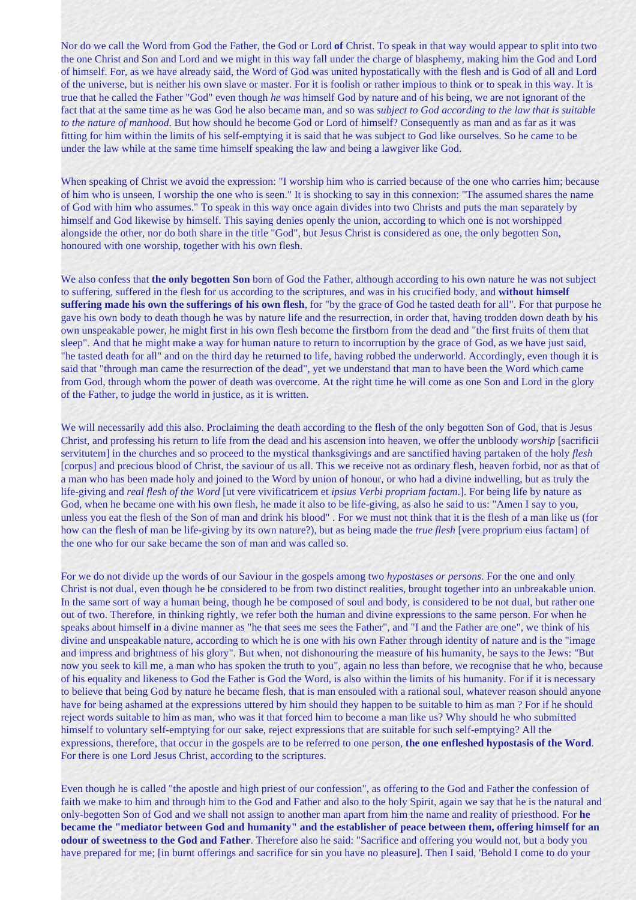Nor do we call the Word from God the Father, the God or Lord **of** Christ. To speak in that way would appear to split into two the one Christ and Son and Lord and we might in this way fall under the charge of blasphemy, making him the God and Lord of himself. For, as we have already said, the Word of God was united hypostatically with the flesh and is God of all and Lord of the universe, but is neither his own slave or master. For it is foolish or rather impious to think or to speak in this way. It is true that he called the Father "God" even though *he was* himself God by nature and of his being, we are not ignorant of the fact that at the same time as he was God he also became man, and so was *subject to God according to the law that is suitable to the nature of manhood*. But how should he become God or Lord of himself? Consequently as man and as far as it was fitting for him within the limits of his self-emptying it is said that he was subject to God like ourselves. So he came to be under the law while at the same time himself speaking the law and being a lawgiver like God.

When speaking of Christ we avoid the expression: "I worship him who is carried because of the one who carries him; because of him who is unseen, I worship the one who is seen." It is shocking to say in this connexion: "The assumed shares the name of God with him who assumes." To speak in this way once again divides into two Christs and puts the man separately by himself and God likewise by himself. This saying denies openly the union, according to which one is not worshipped alongside the other, nor do both share in the title "God", but Jesus Christ is considered as one, the only begotten Son, honoured with one worship, together with his own flesh.

We also confess that **the only begotten Son** born of God the Father, although according to his own nature he was not subject to suffering, suffered in the flesh for us according to the scriptures, and was in his crucified body, and **without himself suffering made his own the sufferings of his own flesh**, for "by the grace of God he tasted death for all". For that purpose he gave his own body to death though he was by nature life and the resurrection, in order that, having trodden down death by his own unspeakable power, he might first in his own flesh become the firstborn from the dead and "the first fruits of them that sleep". And that he might make a way for human nature to return to incorruption by the grace of God, as we have just said, "he tasted death for all" and on the third day he returned to life, having robbed the underworld. Accordingly, even though it is said that "through man came the resurrection of the dead", yet we understand that man to have been the Word which came from God, through whom the power of death was overcome. At the right time he will come as one Son and Lord in the glory of the Father, to judge the world in justice, as it is written.

We will necessarily add this also. Proclaiming the death according to the flesh of the only begotten Son of God, that is Jesus Christ, and professing his return to life from the dead and his ascension into heaven, we offer the unbloody *worship* [sacrificii servitutem] in the churches and so proceed to the mystical thanksgivings and are sanctified having partaken of the holy *flesh* [corpus] and precious blood of Christ, the saviour of us all. This we receive not as ordinary flesh, heaven forbid, nor as that of a man who has been made holy and joined to the Word by union of honour, or who had a divine indwelling, but as truly the life-giving and *real flesh of the Word* [ut vere vivificatricem et *ipsius Verbi propriam factam*.]. For being life by nature as God, when he became one with his own flesh, he made it also to be life-giving, as also he said to us: "Amen I say to you, unless you eat the flesh of the Son of man and drink his blood" . For we must not think that it is the flesh of a man like us (for how can the flesh of man be life-giving by its own nature?), but as being made the *true flesh* [vere proprium eius factam] of the one who for our sake became the son of man and was called so.

For we do not divide up the words of our Saviour in the gospels among two *hypostases or persons*. For the one and only Christ is not dual, even though he be considered to be from two distinct realities, brought together into an unbreakable union. In the same sort of way a human being, though he be composed of soul and body, is considered to be not dual, but rather one out of two. Therefore, in thinking rightly, we refer both the human and divine expressions to the same person. For when he speaks about himself in a divine manner as "he that sees me sees the Father", and "I and the Father are one", we think of his divine and unspeakable nature, according to which he is one with his own Father through identity of nature and is the "image and impress and brightness of his glory". But when, not dishonouring the measure of his humanity, he says to the Jews: "But now you seek to kill me, a man who has spoken the truth to you", again no less than before, we recognise that he who, because of his equality and likeness to God the Father is God the Word, is also within the limits of his humanity. For if it is necessary to believe that being God by nature he became flesh, that is man ensouled with a rational soul, whatever reason should anyone have for being ashamed at the expressions uttered by him should they happen to be suitable to him as man ? For if he should reject words suitable to him as man, who was it that forced him to become a man like us? Why should he who submitted himself to voluntary self-emptying for our sake, reject expressions that are suitable for such self-emptying? All the expressions, therefore, that occur in the gospels are to be referred to one person, **the one enfleshed hypostasis of the Word**. For there is one Lord Jesus Christ, according to the scriptures.

Even though he is called "the apostle and high priest of our confession", as offering to the God and Father the confession of faith we make to him and through him to the God and Father and also to the holy Spirit, again we say that he is the natural and only-begotten Son of God and we shall not assign to another man apart from him the name and reality of priesthood. For **he became the "mediator between God and humanity" and the establisher of peace between them, offering himself for an odour of sweetness to the God and Father**. Therefore also he said: "Sacrifice and offering you would not, but a body you have prepared for me; [in burnt offerings and sacrifice for sin you have no pleasure]. Then I said, 'Behold I come to do your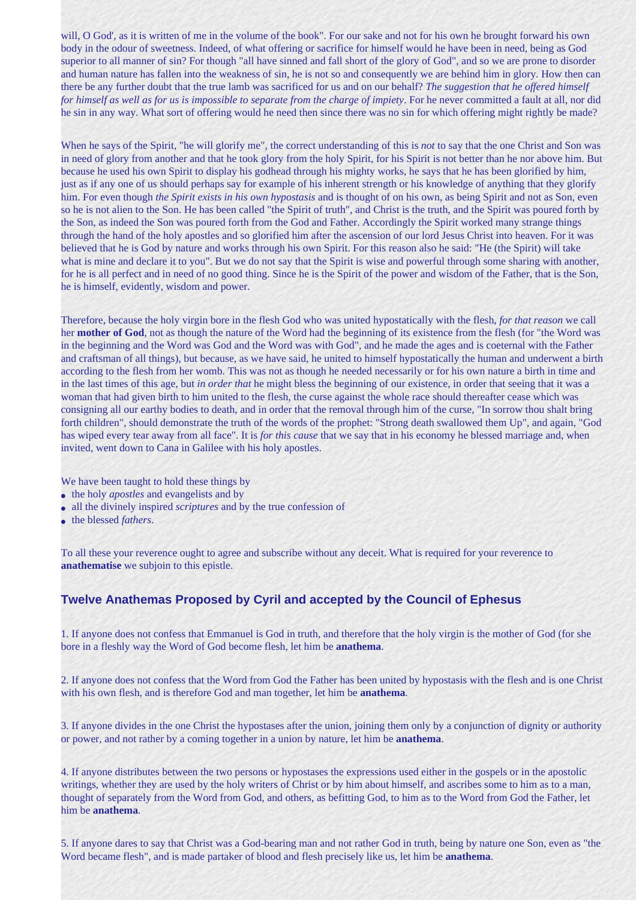will, O God', as it is written of me in the volume of the book". For our sake and not for his own he brought forward his own body in the odour of sweetness. Indeed, of what offering or sacrifice for himself would he have been in need, being as God superior to all manner of sin? For though "all have sinned and fall short of the glory of God", and so we are prone to disorder and human nature has fallen into the weakness of sin, he is not so and consequently we are behind him in glory. How then can there be any further doubt that the true lamb was sacrificed for us and on our behalf? *The suggestion that he offered himself for himself as well as for us is impossible to separate from the charge of impiety*. For he never committed a fault at all, nor did he sin in any way. What sort of offering would he need then since there was no sin for which offering might rightly be made?

When he says of the Spirit, "he will glorify me", the correct understanding of this is *not* to say that the one Christ and Son was in need of glory from another and that he took glory from the holy Spirit, for his Spirit is not better than he nor above him. But because he used his own Spirit to display his godhead through his mighty works, he says that he has been glorified by him, just as if any one of us should perhaps say for example of his inherent strength or his knowledge of anything that they glorify him. For even though *the Spirit exists in his own hypostasis* and is thought of on his own, as being Spirit and not as Son, even so he is not alien to the Son. He has been called "the Spirit of truth", and Christ is the truth, and the Spirit was poured forth by the Son, as indeed the Son was poured forth from the God and Father. Accordingly the Spirit worked many strange things through the hand of the holy apostles and so glorified him after the ascension of our lord Jesus Christ into heaven. For it was believed that he is God by nature and works through his own Spirit. For this reason also he said: "He (the Spirit) will take what is mine and declare it to you". But we do not say that the Spirit is wise and powerful through some sharing with another, for he is all perfect and in need of no good thing. Since he is the Spirit of the power and wisdom of the Father, that is the Son, he is himself, evidently, wisdom and power.

Therefore, because the holy virgin bore in the flesh God who was united hypostatically with the flesh, *for that reason* we call her **mother of God**, not as though the nature of the Word had the beginning of its existence from the flesh (for "the Word was in the beginning and the Word was God and the Word was with God", and he made the ages and is coeternal with the Father and craftsman of all things), but because, as we have said, he united to himself hypostatically the human and underwent a birth according to the flesh from her womb. This was not as though he needed necessarily or for his own nature a birth in time and in the last times of this age, but *in order that* he might bless the beginning of our existence, in order that seeing that it was a woman that had given birth to him united to the flesh, the curse against the whole race should thereafter cease which was consigning all our earthy bodies to death, and in order that the removal through him of the curse, "In sorrow thou shalt bring forth children", should demonstrate the truth of the words of the prophet: "Strong death swallowed them Up", and again, "God has wiped every tear away from all face". It is *for this cause* that we say that in his economy he blessed marriage and, when invited, went down to Cana in Galilee with his holy apostles.

We have been taught to hold these things by

- the holy *apostles* and evangelists and by
- all the divinely inspired *scriptures* and by the true confession of
- the blessed *fathers*.

To all these your reverence ought to agree and subscribe without any deceit. What is required for your reverence to **anathematise** we subjoin to this epistle.

## <span id="page-6-0"></span>**Twelve Anathemas Proposed by Cyril and accepted by the Council of Ephesus**

1. If anyone does not confess that Emmanuel is God in truth, and therefore that the holy virgin is the mother of God (for she bore in a fleshly way the Word of God become flesh, let him be **anathema**.

2. If anyone does not confess that the Word from God the Father has been united by hypostasis with the flesh and is one Christ with his own flesh, and is therefore God and man together, let him be **anathema**.

3. If anyone divides in the one Christ the hypostases after the union, joining them only by a conjunction of dignity or authority or power, and not rather by a coming together in a union by nature, let him be **anathema**.

4. If anyone distributes between the two persons or hypostases the expressions used either in the gospels or in the apostolic writings, whether they are used by the holy writers of Christ or by him about himself, and ascribes some to him as to a man, thought of separately from the Word from God, and others, as befitting God, to him as to the Word from God the Father, let him be **anathema**.

5. If anyone dares to say that Christ was a God-bearing man and not rather God in truth, being by nature one Son, even as "the Word became flesh", and is made partaker of blood and flesh precisely like us, let him be **anathema**.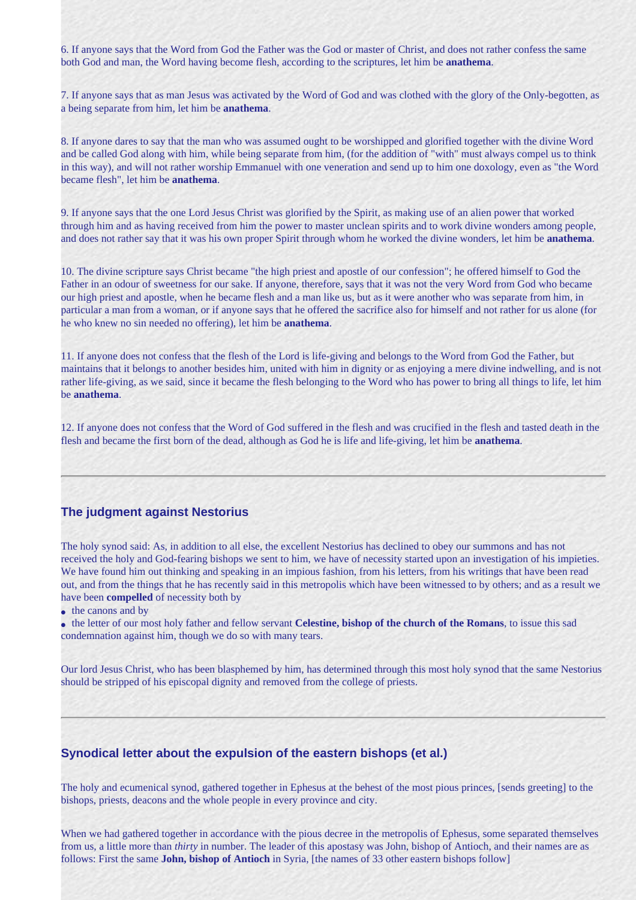6. If anyone says that the Word from God the Father was the God or master of Christ, and does not rather confess the same both God and man, the Word having become flesh, according to the scriptures, let him be **anathema**.

7. If anyone says that as man Jesus was activated by the Word of God and was clothed with the glory of the Only-begotten, as a being separate from him, let him be **anathema**.

8. If anyone dares to say that the man who was assumed ought to be worshipped and glorified together with the divine Word and be called God along with him, while being separate from him, (for the addition of "with" must always compel us to think in this way), and will not rather worship Emmanuel with one veneration and send up to him one doxology, even as "the Word became flesh", let him be **anathema**.

9. If anyone says that the one Lord Jesus Christ was glorified by the Spirit, as making use of an alien power that worked through him and as having received from him the power to master unclean spirits and to work divine wonders among people, and does not rather say that it was his own proper Spirit through whom he worked the divine wonders, let him be **anathema**.

10. The divine scripture says Christ became "the high priest and apostle of our confession"; he offered himself to God the Father in an odour of sweetness for our sake. If anyone, therefore, says that it was not the very Word from God who became our high priest and apostle, when he became flesh and a man like us, but as it were another who was separate from him, in particular a man from a woman, or if anyone says that he offered the sacrifice also for himself and not rather for us alone (for he who knew no sin needed no offering), let him be **anathema**.

11. If anyone does not confess that the flesh of the Lord is life-giving and belongs to the Word from God the Father, but maintains that it belongs to another besides him, united with him in dignity or as enjoying a mere divine indwelling, and is not rather life-giving, as we said, since it became the flesh belonging to the Word who has power to bring all things to life, let him be **anathema**.

12. If anyone does not confess that the Word of God suffered in the flesh and was crucified in the flesh and tasted death in the flesh and became the first born of the dead, although as God he is life and life-giving, let him be **anathema**.

#### <span id="page-7-0"></span>**The judgment against Nestorius**

The holy synod said: As, in addition to all else, the excellent Nestorius has declined to obey our summons and has not received the holy and God-fearing bishops we sent to him, we have of necessity started upon an investigation of his impieties. We have found him out thinking and speaking in an impious fashion, from his letters, from his writings that have been read out, and from the things that he has recently said in this metropolis which have been witnessed to by others; and as a result we have been **compelled** of necessity both by

• the canons and by

● the letter of our most holy father and fellow servant **Celestine, bishop of the church of the Romans**, to issue this sad condemnation against him, though we do so with many tears.

Our lord Jesus Christ, who has been blasphemed by him, has determined through this most holy synod that the same Nestorius should be stripped of his episcopal dignity and removed from the college of priests.

### <span id="page-7-1"></span>**Synodical letter about the expulsion of the eastern bishops (et al.)**

The holy and ecumenical synod, gathered together in Ephesus at the behest of the most pious princes, [sends greeting] to the bishops, priests, deacons and the whole people in every province and city.

When we had gathered together in accordance with the pious decree in the metropolis of Ephesus, some separated themselves from us, a little more than *thirty* in number. The leader of this apostasy was John, bishop of Antioch, and their names are as follows: First the same **John, bishop of Antioch** in Syria, [the names of 33 other eastern bishops follow]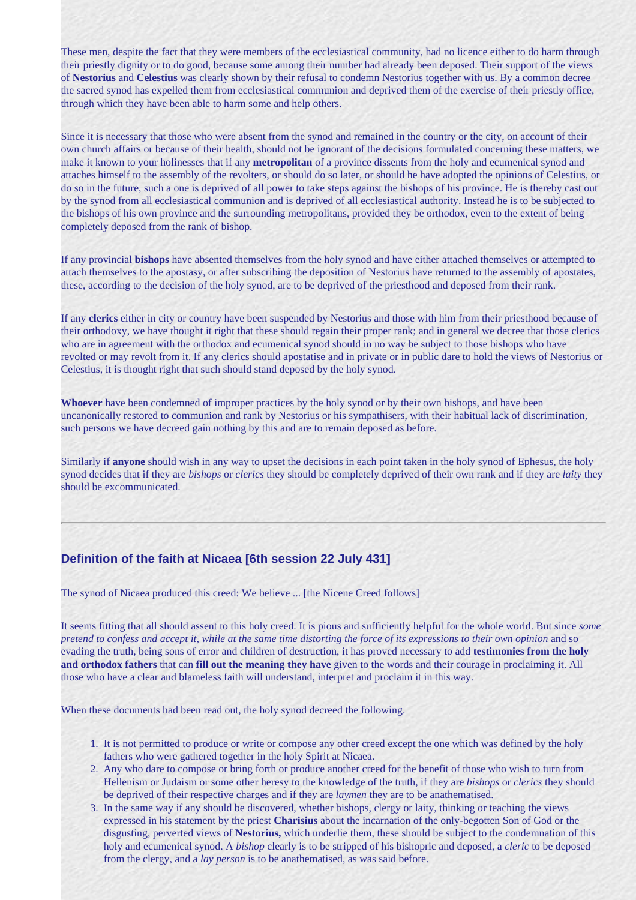These men, despite the fact that they were members of the ecclesiastical community, had no licence either to do harm through their priestly dignity or to do good, because some among their number had already been deposed. Their support of the views of **Nestorius** and **Celestius** was clearly shown by their refusal to condemn Nestorius together with us. By a common decree the sacred synod has expelled them from ecclesiastical communion and deprived them of the exercise of their priestly office, through which they have been able to harm some and help others.

Since it is necessary that those who were absent from the synod and remained in the country or the city, on account of their own church affairs or because of their health, should not be ignorant of the decisions formulated concerning these matters, we make it known to your holinesses that if any **metropolitan** of a province dissents from the holy and ecumenical synod and attaches himself to the assembly of the revolters, or should do so later, or should he have adopted the opinions of Celestius, or do so in the future, such a one is deprived of all power to take steps against the bishops of his province. He is thereby cast out by the synod from all ecclesiastical communion and is deprived of all ecclesiastical authority. Instead he is to be subjected to the bishops of his own province and the surrounding metropolitans, provided they be orthodox, even to the extent of being completely deposed from the rank of bishop.

If any provincial **bishops** have absented themselves from the holy synod and have either attached themselves or attempted to attach themselves to the apostasy, or after subscribing the deposition of Nestorius have returned to the assembly of apostates, these, according to the decision of the holy synod, are to be deprived of the priesthood and deposed from their rank.

If any **clerics** either in city or country have been suspended by Nestorius and those with him from their priesthood because of their orthodoxy, we have thought it right that these should regain their proper rank; and in general we decree that those clerics who are in agreement with the orthodox and ecumenical synod should in no way be subject to those bishops who have revolted or may revolt from it. If any clerics should apostatise and in private or in public dare to hold the views of Nestorius or Celestius, it is thought right that such should stand deposed by the holy synod.

**Whoever** have been condemned of improper practices by the holy synod or by their own bishops, and have been uncanonically restored to communion and rank by Nestorius or his sympathisers, with their habitual lack of discrimination, such persons we have decreed gain nothing by this and are to remain deposed as before.

Similarly if **anyone** should wish in any way to upset the decisions in each point taken in the holy synod of Ephesus, the holy synod decides that if they are *bishops* or *clerics* they should be completely deprived of their own rank and if they are *laity* they should be excommunicated.

# <span id="page-8-0"></span>**Definition of the faith at Nicaea [6th session 22 July 431]**

The synod of Nicaea produced this creed: We believe ... [the Nicene Creed follows]

It seems fitting that all should assent to this holy creed. It is pious and sufficiently helpful for the whole world. But since *some pretend to confess and accept it, while at the same time distorting the force of its expressions to their own opinion* and so evading the truth, being sons of error and children of destruction, it has proved necessary to add **testimonies from the holy and orthodox fathers** that can **fill out the meaning they have** given to the words and their courage in proclaiming it. All those who have a clear and blameless faith will understand, interpret and proclaim it in this way.

When these documents had been read out, the holy synod decreed the following.

- 1. It is not permitted to produce or write or compose any other creed except the one which was defined by the holy fathers who were gathered together in the holy Spirit at Nicaea.
- 2. Any who dare to compose or bring forth or produce another creed for the benefit of those who wish to turn from Hellenism or Judaism or some other heresy to the knowledge of the truth, if they are *bishops* or *clerics* they should be deprived of their respective charges and if they are *laymen* they are to be anathematised.
- 3. In the same way if any should be discovered, whether bishops, clergy or laity, thinking or teaching the views expressed in his statement by the priest **Charisius** about the incarnation of the only-begotten Son of God or the disgusting, perverted views of **Nestorius,** which underlie them, these should be subject to the condemnation of this holy and ecumenical synod. A *bishop* clearly is to be stripped of his bishopric and deposed, a *cleric* to be deposed from the clergy, and a *lay person* is to be anathematised, as was said before.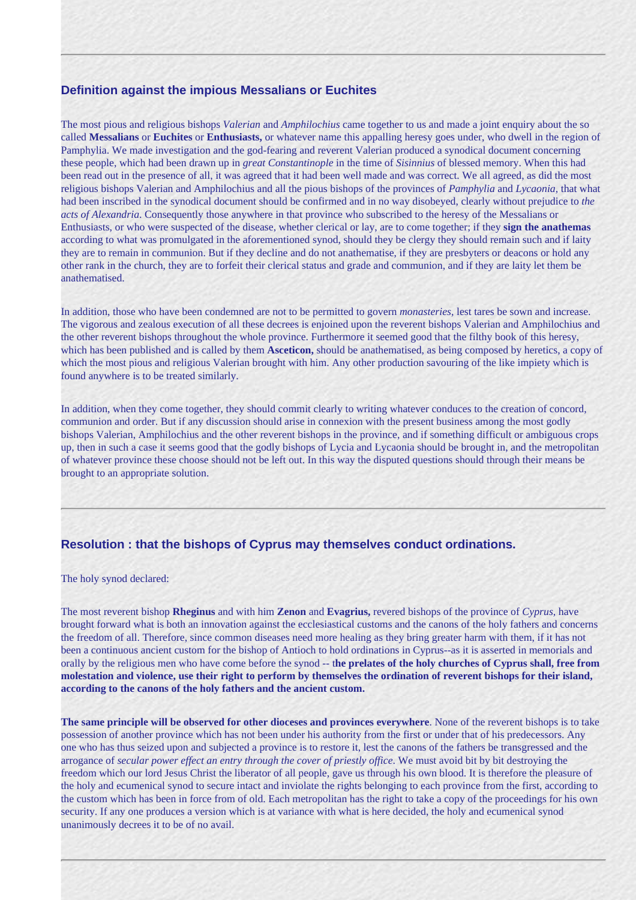#### <span id="page-9-0"></span>**Definition against the impious Messalians or Euchites**

The most pious and religious bishops *Valerian* and *Amphilochius* came together to us and made a joint enquiry about the so called **Messalians** or **Euchites** or **Enthusiasts,** or whatever name this appalling heresy goes under, who dwell in the region of Pamphylia. We made investigation and the god-fearing and reverent Valerian produced a synodical document concerning these people, which had been drawn up in *great Constantinople* in the time of *Sisinnius* of blessed memory. When this had been read out in the presence of all, it was agreed that it had been well made and was correct. We all agreed, as did the most religious bishops Valerian and Amphilochius and all the pious bishops of the provinces of *Pamphylia* and *Lycaonia,* that what had been inscribed in the synodical document should be confirmed and in no way disobeyed, clearly without prejudice to *the acts of Alexandria*. Consequently those anywhere in that province who subscribed to the heresy of the Messalians or Enthusiasts, or who were suspected of the disease, whether clerical or lay, are to come together; if they **sign the anathemas** according to what was promulgated in the aforementioned synod, should they be clergy they should remain such and if laity they are to remain in communion. But if they decline and do not anathematise, if they are presbyters or deacons or hold any other rank in the church, they are to forfeit their clerical status and grade and communion, and if they are laity let them be anathematised.

In addition, those who have been condemned are not to be permitted to govern *monasteries,* lest tares be sown and increase. The vigorous and zealous execution of all these decrees is enjoined upon the reverent bishops Valerian and Amphilochius and the other reverent bishops throughout the whole province. Furthermore it seemed good that the filthy book of this heresy, which has been published and is called by them **Asceticon,** should be anathematised, as being composed by heretics, a copy of which the most pious and religious Valerian brought with him. Any other production savouring of the like impiety which is found anywhere is to be treated similarly.

In addition, when they come together, they should commit clearly to writing whatever conduces to the creation of concord, communion and order. But if any discussion should arise in connexion with the present business among the most godly bishops Valerian, Amphilochius and the other reverent bishops in the province, and if something difficult or ambiguous crops up, then in such a case it seems good that the godly bishops of Lycia and Lycaonia should be brought in, and the metropolitan of whatever province these choose should not be left out. In this way the disputed questions should through their means be brought to an appropriate solution.

#### <span id="page-9-1"></span>**Resolution : that the bishops of Cyprus may themselves conduct ordinations.**

#### The holy synod declared:

The most reverent bishop **Rheginus** and with him **Zenon** and **Evagrius,** revered bishops of the province of *Cyprus,* have brought forward what is both an innovation against the ecclesiastical customs and the canons of the holy fathers and concerns the freedom of all. Therefore, since common diseases need more healing as they bring greater harm with them, if it has not been a continuous ancient custom for the bishop of Antioch to hold ordinations in Cyprus--as it is asserted in memorials and orally by the religious men who have come before the synod -- t**he prelates of the holy churches of Cyprus shall, free from molestation and violence, use their right to perform by themselves the ordination of reverent bishops for their island, according to the canons of the holy fathers and the ancient custom.**

**The same principle will be observed for other dioceses and provinces everywhere**. None of the reverent bishops is to take possession of another province which has not been under his authority from the first or under that of his predecessors. Any one who has thus seized upon and subjected a province is to restore it, lest the canons of the fathers be transgressed and the arrogance of *secular power effect an entry through the cover of priestly office*. We must avoid bit by bit destroying the freedom which our lord Jesus Christ the liberator of all people, gave us through his own blood. It is therefore the pleasure of the holy and ecumenical synod to secure intact and inviolate the rights belonging to each province from the first, according to the custom which has been in force from of old. Each metropolitan has the right to take a copy of the proceedings for his own security. If any one produces a version which is at variance with what is here decided, the holy and ecumenical synod unanimously decrees it to be of no avail.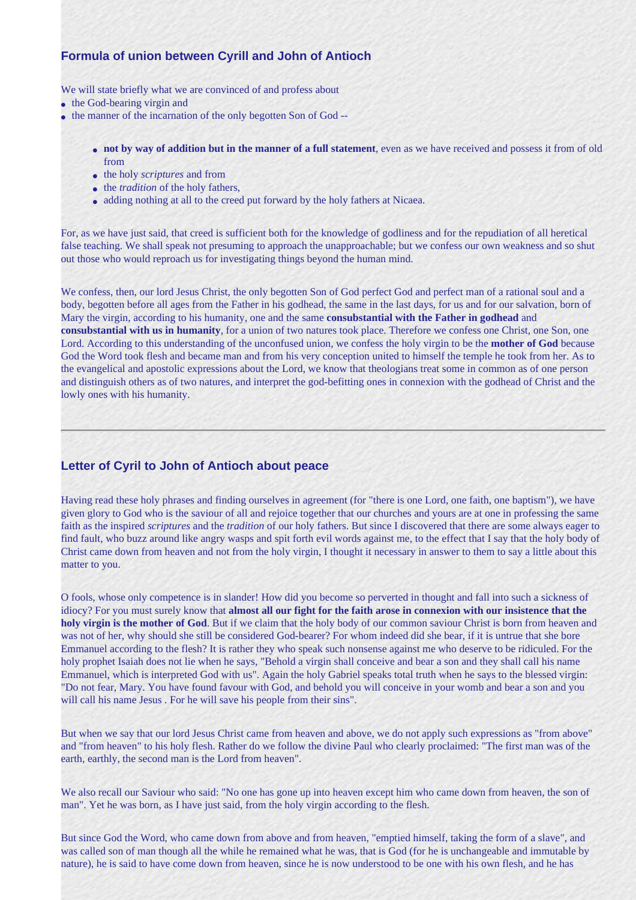## <span id="page-10-0"></span>**Formula of union between Cyrill and John of Antioch**

We will state briefly what we are convinced of and profess about

- the God-bearing virgin and
- the manner of the incarnation of the only begotten Son of God --
	- **not by way of addition but in the manner of a full statement**, even as we have received and possess it from of old from
	- the holy *scriptures* and from
	- the *tradition* of the holy fathers,
	- adding nothing at all to the creed put forward by the holy fathers at Nicaea.

For, as we have just said, that creed is sufficient both for the knowledge of godliness and for the repudiation of all heretical false teaching. We shall speak not presuming to approach the unapproachable; but we confess our own weakness and so shut out those who would reproach us for investigating things beyond the human mind.

We confess, then, our lord Jesus Christ, the only begotten Son of God perfect God and perfect man of a rational soul and a body, begotten before all ages from the Father in his godhead, the same in the last days, for us and for our salvation, born of Mary the virgin, according to his humanity, one and the same **consubstantial with the Father in godhead** and **consubstantial with us in humanity**, for a union of two natures took place. Therefore we confess one Christ, one Son, one Lord. According to this understanding of the unconfused union, we confess the holy virgin to be the **mother of God** because God the Word took flesh and became man and from his very conception united to himself the temple he took from her. As to the evangelical and apostolic expressions about the Lord, we know that theologians treat some in common as of one person and distinguish others as of two natures, and interpret the god-befitting ones in connexion with the godhead of Christ and the lowly ones with his humanity.

#### <span id="page-10-1"></span>**Letter of Cyril to John of Antioch about peace**

Having read these holy phrases and finding ourselves in agreement (for "there is one Lord, one faith, one baptism"), we have given glory to God who is the saviour of all and rejoice together that our churches and yours are at one in professing the same faith as the inspired *scriptures* and the *tradition* of our holy fathers. But since I discovered that there are some always eager to find fault, who buzz around like angry wasps and spit forth evil words against me, to the effect that I say that the holy body of Christ came down from heaven and not from the holy virgin, I thought it necessary in answer to them to say a little about this matter to you.

O fools, whose only competence is in slander! How did you become so perverted in thought and fall into such a sickness of idiocy? For you must surely know that **almost all our fight for the faith arose in connexion with our insistence that the holy virgin is the mother of God**. But if we claim that the holy body of our common saviour Christ is born from heaven and was not of her, why should she still be considered God-bearer? For whom indeed did she bear, if it is untrue that she bore Emmanuel according to the flesh? It is rather they who speak such nonsense against me who deserve to be ridiculed. For the holy prophet Isaiah does not lie when he says, "Behold a virgin shall conceive and bear a son and they shall call his name Emmanuel, which is interpreted God with us". Again the holy Gabriel speaks total truth when he says to the blessed virgin: "Do not fear, Mary. You have found favour with God, and behold you will conceive in your womb and bear a son and you will call his name Jesus . For he will save his people from their sins".

But when we say that our lord Jesus Christ came from heaven and above, we do not apply such expressions as "from above" and "from heaven" to his holy flesh. Rather do we follow the divine Paul who clearly proclaimed: "The first man was of the earth, earthly, the second man is the Lord from heaven".

We also recall our Saviour who said: "No one has gone up into heaven except him who came down from heaven, the son of man". Yet he was born, as I have just said, from the holy virgin according to the flesh.

But since God the Word, who came down from above and from heaven, "emptied himself, taking the form of a slave", and was called son of man though all the while he remained what he was, that is God (for he is unchangeable and immutable by nature), he is said to have come down from heaven, since he is now understood to be one with his own flesh, and he has